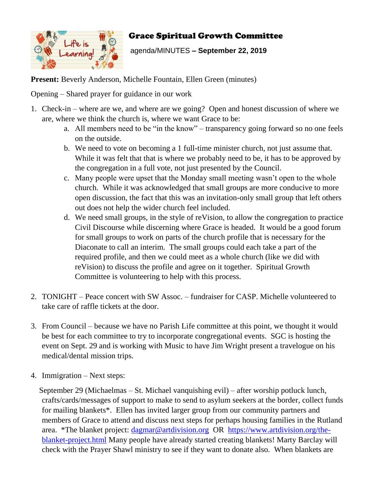

## Grace Spiritual Growth Committee

agenda/MINUTES **– September 22, 2019**

Present: Beverly Anderson, Michelle Fountain, Ellen Green (minutes)

Opening – Shared prayer for guidance in our work

- 1. Check-in where are we, and where are we going? Open and honest discussion of where we are, where we think the church is, where we want Grace to be:
	- a. All members need to be "in the know" transparency going forward so no one feels on the outside.
	- b. We need to vote on becoming a 1 full-time minister church, not just assume that. While it was felt that that is where we probably need to be, it has to be approved by the congregation in a full vote, not just presented by the Council.
	- c. Many people were upset that the Monday small meeting wasn't open to the whole church. While it was acknowledged that small groups are more conducive to more open discussion, the fact that this was an invitation-only small group that left others out does not help the wider church feel included.
	- d. We need small groups, in the style of reVision, to allow the congregation to practice Civil Discourse while discerning where Grace is headed. It would be a good forum for small groups to work on parts of the church profile that is necessary for the Diaconate to call an interim. The small groups could each take a part of the required profile, and then we could meet as a whole church (like we did with reVision) to discuss the profile and agree on it together. Spiritual Growth Committee is volunteering to help with this process.
- 2. TONIGHT Peace concert with SW Assoc. fundraiser for CASP. Michelle volunteered to take care of raffle tickets at the door.
- 3. From Council because we have no Parish Life committee at this point, we thought it would be best for each committee to try to incorporate congregational events. SGC is hosting the event on Sept. 29 and is working with Music to have Jim Wright present a travelogue on his medical/dental mission trips.
- 4. Immigration Next steps:

September 29 (Michaelmas – St. Michael vanquishing evil) – after worship potluck lunch, crafts/cards/messages of support to make to send to asylum seekers at the border, collect funds for mailing blankets\*. Ellen has invited larger group from our community partners and members of Grace to attend and discuss next steps for perhaps housing families in the Rutland area. \*The blanket project:  $\frac{d{q}m}{d{q}}$  artdivision.org OR [https://www.artdivision.org/the](https://www.artdivision.org/the-blanket-project.html)[blanket-project.html](https://www.artdivision.org/the-blanket-project.html) Many people have already started creating blankets! Marty Barclay will check with the Prayer Shawl ministry to see if they want to donate also. When blankets are